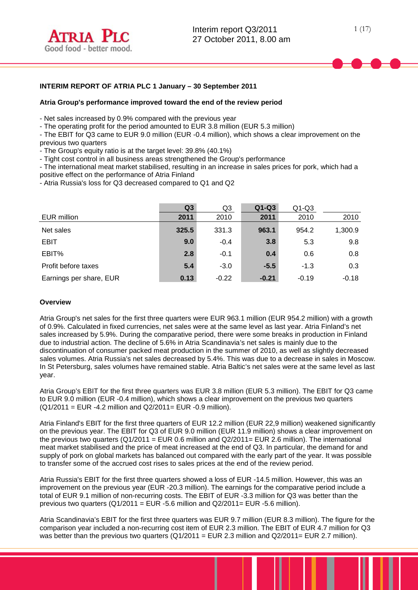# **INTERIM REPORT OF ATRIA PLC 1 January – 30 September 2011**

#### **Atria Group's performance improved toward the end of the review period**

- Net sales increased by 0.9% compared with the previous year

- The operating profit for the period amounted to EUR 3.8 million (EUR 5.3 million)

- The EBIT for Q3 came to EUR 9.0 million (EUR -0.4 million), which shows a clear improvement on the previous two quarters

- The Group's equity ratio is at the target level: 39.8% (40.1%)

- Tight cost control in all business areas strengthened the Group's performance

- The international meat market stabilised, resulting in an increase in sales prices for pork, which had a positive effect on the performance of Atria Finland

- Atria Russia's loss for Q3 decreased compared to Q1 and Q2

|                         | Q <sub>3</sub> | Q <sub>3</sub> | $Q1-Q3$ | $Q1-Q3$ |         |
|-------------------------|----------------|----------------|---------|---------|---------|
| EUR million             | 2011           | 2010           | 2011    | 2010    | 2010    |
| Net sales               | 325.5          | 331.3          | 963.1   | 954.2   | 1,300.9 |
| <b>EBIT</b>             | 9.0            | $-0.4$         | 3.8     | 5.3     | 9.8     |
| EBIT%                   | 2.8            | $-0.1$         | 0.4     | 0.6     | 0.8     |
| Profit before taxes     | 5.4            | $-3.0$         | $-5.5$  | $-1.3$  | 0.3     |
| Earnings per share, EUR | 0.13           | $-0.22$        | $-0.21$ | $-0.19$ | $-0.18$ |

#### **Overview**

Atria Group's net sales for the first three quarters were EUR 963.1 million (EUR 954.2 million) with a growth of 0.9%. Calculated in fixed currencies, net sales were at the same level as last year. Atria Finland's net sales increased by 5.9%. During the comparative period, there were some breaks in production in Finland due to industrial action. The decline of 5.6% in Atria Scandinavia's net sales is mainly due to the discontinuation of consumer packed meat production in the summer of 2010, as well as slightly decreased sales volumes. Atria Russia's net sales decreased by 5.4%. This was due to a decrease in sales in Moscow. In St Petersburg, sales volumes have remained stable. Atria Baltic's net sales were at the same level as last year.

Atria Group's EBIT for the first three quarters was EUR 3.8 million (EUR 5.3 million). The EBIT for Q3 came to EUR 9.0 million (EUR -0.4 million), which shows a clear improvement on the previous two quarters (Q1/2011 = EUR -4.2 million and Q2/2011= EUR -0.9 million).

Atria Finland's EBIT for the first three quarters of EUR 12.2 million (EUR 22,9 million) weakened significantly on the previous year. The EBIT for Q3 of EUR 9.0 million (EUR 11.9 million) shows a clear improvement on the previous two quarters  $(Q1/2011 = EUR 0.6$  million and  $Q2/2011 = EUR 2.6$  million). The international meat market stabilised and the price of meat increased at the end of Q3. In particular, the demand for and supply of pork on global markets has balanced out compared with the early part of the year. It was possible to transfer some of the accrued cost rises to sales prices at the end of the review period.

Atria Russia's EBIT for the first three quarters showed a loss of EUR -14.5 million. However, this was an improvement on the previous year (EUR -20.3 million). The earnings for the comparative period include a total of EUR 9.1 million of non-recurring costs. The EBIT of EUR -3.3 million for Q3 was better than the previous two quarters  $(Q1/2011 = EUR -5.6$  million and  $Q2/2011 = EUR -5.6$  million).

Atria Scandinavia's EBIT for the first three quarters was EUR 9.7 million (EUR 8.3 million). The figure for the comparison year included a non-recurring cost item of EUR 2.3 million. The EBIT of EUR 4.7 million for Q3 was better than the previous two quarters  $(Q1/2011 = EUR 2.3$  million and  $Q2/2011 = EUR 2.7$  million).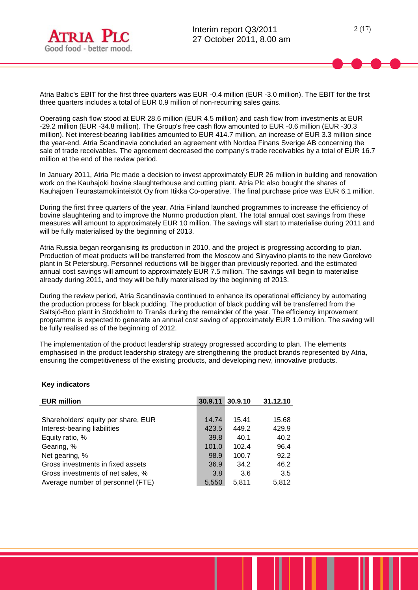

Atria Baltic's EBIT for the first three quarters was EUR -0.4 million (EUR -3.0 million). The EBIT for the first three quarters includes a total of EUR 0.9 million of non-recurring sales gains.

Operating cash flow stood at EUR 28.6 million (EUR 4.5 million) and cash flow from investments at EUR -29.2 million (EUR -34.8 million). The Group's free cash flow amounted to EUR -0.6 million (EUR -30.3 million). Net interest-bearing liabilities amounted to EUR 414.7 million, an increase of EUR 3.3 million since the year-end. Atria Scandinavia concluded an agreement with Nordea Finans Sverige AB concerning the sale of trade receivables. The agreement decreased the company's trade receivables by a total of EUR 16.7 million at the end of the review period.

In January 2011, Atria Plc made a decision to invest approximately EUR 26 million in building and renovation work on the Kauhajoki bovine slaughterhouse and cutting plant. Atria Plc also bought the shares of Kauhajoen Teurastamokiinteistöt Oy from Itikka Co-operative. The final purchase price was EUR 6.1 million.

During the first three quarters of the year, Atria Finland launched programmes to increase the efficiency of bovine slaughtering and to improve the Nurmo production plant. The total annual cost savings from these measures will amount to approximately EUR 10 million. The savings will start to materialise during 2011 and will be fully materialised by the beginning of 2013.

Atria Russia began reorganising its production in 2010, and the project is progressing according to plan. Production of meat products will be transferred from the Moscow and Sinyavino plants to the new Gorelovo plant in St Petersburg. Personnel reductions will be bigger than previously reported, and the estimated annual cost savings will amount to approximately EUR 7.5 million. The savings will begin to materialise already during 2011, and they will be fully materialised by the beginning of 2013.

During the review period, Atria Scandinavia continued to enhance its operational efficiency by automating the production process for black pudding. The production of black pudding will be transferred from the Saltsjö-Boo plant in Stockholm to Tranås during the remainder of the year. The efficiency improvement programme is expected to generate an annual cost saving of approximately EUR 1.0 million. The saving will be fully realised as of the beginning of 2012.

The implementation of the product leadership strategy progressed according to plan. The elements emphasised in the product leadership strategy are strengthening the product brands represented by Atria, ensuring the competitiveness of the existing products, and developing new, innovative products.

|  | <b>Key indicators</b> |
|--|-----------------------|
|--|-----------------------|

| <b>EUR million</b>                  | 30.9.11 | 30.9.10 | 31.12.10 |
|-------------------------------------|---------|---------|----------|
|                                     |         |         |          |
| Shareholders' equity per share, EUR | 14.74   | 15.41   | 15.68    |
| Interest-bearing liabilities        | 423.5   | 449.2   | 429.9    |
| Equity ratio, %                     | 39.8    | 40.1    | 40.2     |
| Gearing, %                          | 101.0   | 102.4   | 96.4     |
| Net gearing, %                      | 98.9    | 100.7   | 92.2     |
| Gross investments in fixed assets   | 36.9    | 34.2    | 46.2     |
| Gross investments of net sales, %   | 3.8     | 3.6     | 3.5      |
| Average number of personnel (FTE)   | 5,550   | 5.811   | 5,812    |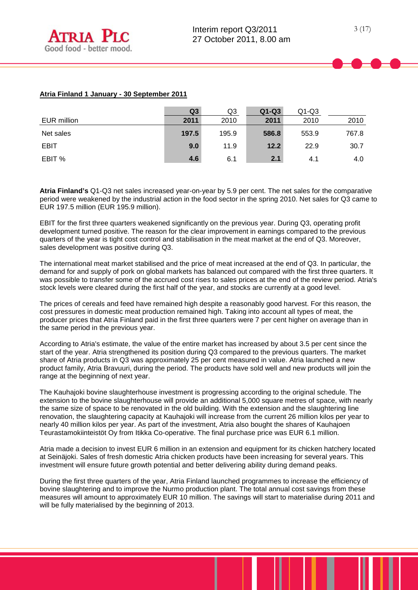# **Atria Finland 1 January - 30 September 2011**

|             | Q <sub>3</sub> | Q3    | $Q1-Q3$ | $Q1-Q3$ |       |
|-------------|----------------|-------|---------|---------|-------|
| EUR million | 2011           | 2010  | 2011    | 2010    | 2010  |
| Net sales   | 197.5          | 195.9 | 586.8   | 553.9   | 767.8 |
| <b>EBIT</b> | 9.0            | 11.9  | 12.2    | 22.9    | 30.7  |
| EBIT %      | 4.6            | 6.1   | 2.1     | 4.1     | 4.0   |

**Atria Finland's** Q1-Q3 net sales increased year-on-year by 5.9 per cent. The net sales for the comparative period were weakened by the industrial action in the food sector in the spring 2010. Net sales for Q3 came to EUR 197.5 million (EUR 195.9 million).

EBIT for the first three quarters weakened significantly on the previous year. During Q3, operating profit development turned positive. The reason for the clear improvement in earnings compared to the previous quarters of the year is tight cost control and stabilisation in the meat market at the end of Q3. Moreover, sales development was positive during Q3.

The international meat market stabilised and the price of meat increased at the end of Q3. In particular, the demand for and supply of pork on global markets has balanced out compared with the first three quarters. It was possible to transfer some of the accrued cost rises to sales prices at the end of the review period. Atria's stock levels were cleared during the first half of the year, and stocks are currently at a good level.

The prices of cereals and feed have remained high despite a reasonably good harvest. For this reason, the cost pressures in domestic meat production remained high. Taking into account all types of meat, the producer prices that Atria Finland paid in the first three quarters were 7 per cent higher on average than in the same period in the previous year.

According to Atria's estimate, the value of the entire market has increased by about 3.5 per cent since the start of the year. Atria strengthened its position during Q3 compared to the previous quarters. The market share of Atria products in Q3 was approximately 25 per cent measured in value. Atria launched a new product family, Atria Bravuuri, during the period. The products have sold well and new products will join the range at the beginning of next year.

The Kauhajoki bovine slaughterhouse investment is progressing according to the original schedule. The extension to the bovine slaughterhouse will provide an additional 5,000 square metres of space, with nearly the same size of space to be renovated in the old building. With the extension and the slaughtering line renovation, the slaughtering capacity at Kauhajoki will increase from the current 26 million kilos per year to nearly 40 million kilos per year. As part of the investment, Atria also bought the shares of Kauhajoen Teurastamokiinteistöt Oy from Itikka Co-operative. The final purchase price was EUR 6.1 million.

Atria made a decision to invest EUR 6 million in an extension and equipment for its chicken hatchery located at Seinäjoki. Sales of fresh domestic Atria chicken products have been increasing for several years. This investment will ensure future growth potential and better delivering ability during demand peaks.

During the first three quarters of the year, Atria Finland launched programmes to increase the efficiency of bovine slaughtering and to improve the Nurmo production plant. The total annual cost savings from these measures will amount to approximately EUR 10 million. The savings will start to materialise during 2011 and will be fully materialised by the beginning of 2013.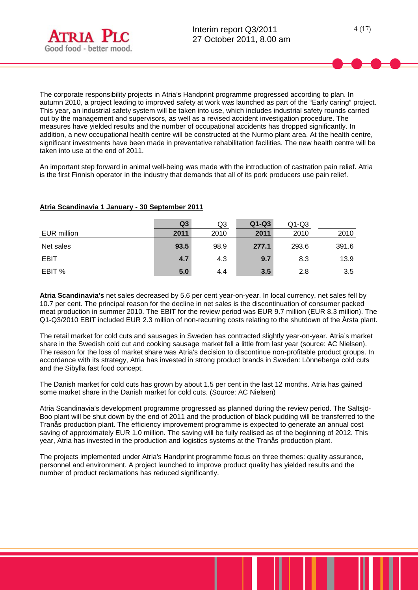

The corporate responsibility projects in Atria's Handprint programme progressed according to plan. In autumn 2010, a project leading to improved safety at work was launched as part of the "Early caring" project. This year, an industrial safety system will be taken into use, which includes industrial safety rounds carried out by the management and supervisors, as well as a revised accident investigation procedure. The measures have yielded results and the number of occupational accidents has dropped significantly. In addition, a new occupational health centre will be constructed at the Nurmo plant area. At the health centre, significant investments have been made in preventative rehabilitation facilities. The new health centre will be taken into use at the end of 2011.

An important step forward in animal well-being was made with the introduction of castration pain relief. Atria is the first Finnish operator in the industry that demands that all of its pork producers use pain relief.

# **Atria Scandinavia 1 January - 30 September 2011**

|             | Q3   | Q3   | $Q1-Q3$ | $Q1-Q3$ |       |
|-------------|------|------|---------|---------|-------|
| EUR million | 2011 | 2010 | 2011    | 2010    | 2010  |
| Net sales   | 93.5 | 98.9 | 277.1   | 293.6   | 391.6 |
| <b>EBIT</b> | 4.7  | 4.3  | 9.7     | 8.3     | 13.9  |
| EBIT %      | 5.0  | 4.4  | 3.5     | 2.8     | 3.5   |

**Atria Scandinavia's** net sales decreased by 5.6 per cent year-on-year. In local currency, net sales fell by 10.7 per cent. The principal reason for the decline in net sales is the discontinuation of consumer packed meat production in summer 2010. The EBIT for the review period was EUR 9.7 million (EUR 8.3 million). The Q1-Q3/2010 EBIT included EUR 2.3 million of non-recurring costs relating to the shutdown of the Årsta plant.

The retail market for cold cuts and sausages in Sweden has contracted slightly year-on-year. Atria's market share in the Swedish cold cut and cooking sausage market fell a little from last year (source: AC Nielsen). The reason for the loss of market share was Atria's decision to discontinue non-profitable product groups. In accordance with its strategy, Atria has invested in strong product brands in Sweden: Lönneberga cold cuts and the Sibylla fast food concept.

The Danish market for cold cuts has grown by about 1.5 per cent in the last 12 months. Atria has gained some market share in the Danish market for cold cuts. (Source: AC Nielsen)

Atria Scandinavia's development programme progressed as planned during the review period. The Saltsjö-Boo plant will be shut down by the end of 2011 and the production of black pudding will be transferred to the Tranås production plant. The efficiency improvement programme is expected to generate an annual cost saving of approximately EUR 1.0 million. The saving will be fully realised as of the beginning of 2012. This year, Atria has invested in the production and logistics systems at the Tranås production plant.

The projects implemented under Atria's Handprint programme focus on three themes: quality assurance, personnel and environment. A project launched to improve product quality has yielded results and the number of product reclamations has reduced significantly.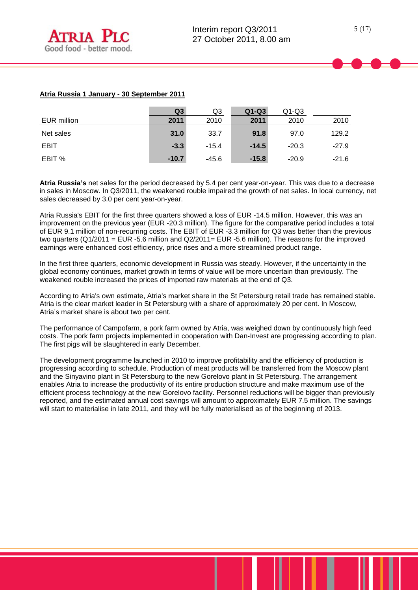# **Atria Russia 1 January - 30 September 2011**

|             | Q3      | Q3      | $Q1-Q3$ | $Q1-Q3$ |         |
|-------------|---------|---------|---------|---------|---------|
| EUR million | 2011    | 2010    | 2011    | 2010    | 2010    |
| Net sales   | 31.0    | 33.7    | 91.8    | 97.0    | 129.2   |
| <b>EBIT</b> | $-3.3$  | $-15.4$ | $-14.5$ | $-20.3$ | $-27.9$ |
| EBIT %      | $-10.7$ | $-45.6$ | $-15.8$ | $-20.9$ | $-21.6$ |

**Atria Russia's** net sales for the period decreased by 5.4 per cent year-on-year. This was due to a decrease in sales in Moscow. In Q3/2011, the weakened rouble impaired the growth of net sales. In local currency, net sales decreased by 3.0 per cent year-on-year.

Atria Russia's EBIT for the first three quarters showed a loss of EUR -14.5 million. However, this was an improvement on the previous year (EUR -20.3 million). The figure for the comparative period includes a total of EUR 9.1 million of non-recurring costs. The EBIT of EUR -3.3 million for Q3 was better than the previous two quarters (Q1/2011 = EUR -5.6 million and Q2/2011= EUR -5.6 million). The reasons for the improved earnings were enhanced cost efficiency, price rises and a more streamlined product range.

In the first three quarters, economic development in Russia was steady. However, if the uncertainty in the global economy continues, market growth in terms of value will be more uncertain than previously. The weakened rouble increased the prices of imported raw materials at the end of Q3.

According to Atria's own estimate, Atria's market share in the St Petersburg retail trade has remained stable. Atria is the clear market leader in St Petersburg with a share of approximately 20 per cent. In Moscow, Atria's market share is about two per cent.

The performance of Campofarm, a pork farm owned by Atria, was weighed down by continuously high feed costs. The pork farm projects implemented in cooperation with Dan-Invest are progressing according to plan. The first pigs will be slaughtered in early December.

The development programme launched in 2010 to improve profitability and the efficiency of production is progressing according to schedule. Production of meat products will be transferred from the Moscow plant and the Sinyavino plant in St Petersburg to the new Gorelovo plant in St Petersburg. The arrangement enables Atria to increase the productivity of its entire production structure and make maximum use of the efficient process technology at the new Gorelovo facility. Personnel reductions will be bigger than previously reported, and the estimated annual cost savings will amount to approximately EUR 7.5 million. The savings will start to materialise in late 2011, and they will be fully materialised as of the beginning of 2013.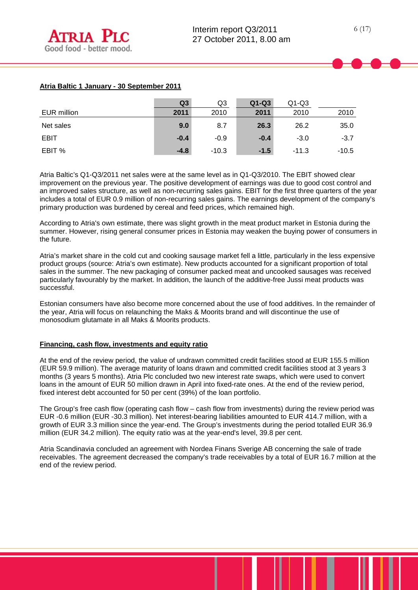# **Atria Baltic 1 January - 30 September 2011**

|             | Q <sub>3</sub> | Q3      | $Q1-Q3$ | $Q1-Q3$ |         |
|-------------|----------------|---------|---------|---------|---------|
| EUR million | 2011           | 2010    | 2011    | 2010    | 2010    |
| Net sales   | 9.0            | 8.7     | 26.3    | 26.2    | 35.0    |
| <b>EBIT</b> | $-0.4$         | $-0.9$  | $-0.4$  | $-3.0$  | $-3.7$  |
| EBIT %      | $-4.8$         | $-10.3$ | $-1.5$  | $-11.3$ | $-10.5$ |

Atria Baltic's Q1-Q3/2011 net sales were at the same level as in Q1-Q3/2010. The EBIT showed clear improvement on the previous year. The positive development of earnings was due to good cost control and an improved sales structure, as well as non-recurring sales gains. EBIT for the first three quarters of the year includes a total of EUR 0.9 million of non-recurring sales gains. The earnings development of the company's primary production was burdened by cereal and feed prices, which remained high.

According to Atria's own estimate, there was slight growth in the meat product market in Estonia during the summer. However, rising general consumer prices in Estonia may weaken the buying power of consumers in the future.

Atria's market share in the cold cut and cooking sausage market fell a little, particularly in the less expensive product groups (source: Atria's own estimate). New products accounted for a significant proportion of total sales in the summer. The new packaging of consumer packed meat and uncooked sausages was received particularly favourably by the market. In addition, the launch of the additive-free Jussi meat products was successful.

Estonian consumers have also become more concerned about the use of food additives. In the remainder of the year, Atria will focus on relaunching the Maks & Moorits brand and will discontinue the use of monosodium glutamate in all Maks & Moorits products.

#### **Financing, cash flow, investments and equity ratio**

At the end of the review period, the value of undrawn committed credit facilities stood at EUR 155.5 million (EUR 59.9 million). The average maturity of loans drawn and committed credit facilities stood at 3 years 3 months (3 years 5 months). Atria Plc concluded two new interest rate swaps, which were used to convert loans in the amount of EUR 50 million drawn in April into fixed-rate ones. At the end of the review period, fixed interest debt accounted for 50 per cent (39%) of the loan portfolio.

The Group's free cash flow (operating cash flow – cash flow from investments) during the review period was EUR -0.6 million (EUR -30.3 million). Net interest-bearing liabilities amounted to EUR 414.7 million, with a growth of EUR 3.3 million since the year-end. The Group's investments during the period totalled EUR 36.9 million (EUR 34.2 million). The equity ratio was at the year-end's level, 39.8 per cent.

Atria Scandinavia concluded an agreement with Nordea Finans Sverige AB concerning the sale of trade receivables. The agreement decreased the company's trade receivables by a total of EUR 16.7 million at the end of the review period.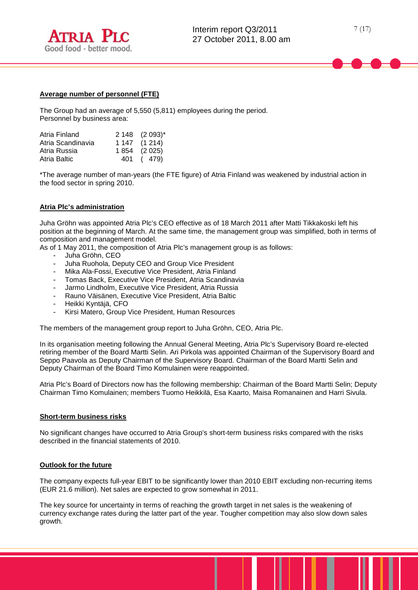

#### **Average number of personnel (FTE)**

The Group had an average of 5,550 (5,811) employees during the period. Personnel by business area:

| Atria Finland     | 2 148 (2 093)* |
|-------------------|----------------|
| Atria Scandinavia | 1 147 (1 214)  |
| Atria Russia      | 1 854 (2 025)  |
| Atria Baltic      | 401 (479)      |

\*The average number of man-years (the FTE figure) of Atria Finland was weakened by industrial action in the food sector in spring 2010.

#### **Atria Plc's administration**

Juha Gröhn was appointed Atria Plc's CEO effective as of 18 March 2011 after Matti Tikkakoski left his position at the beginning of March. At the same time, the management group was simplified, both in terms of composition and management model.

As of 1 May 2011, the composition of Atria Plc's management group is as follows:

- Juha Gröhn, CEO
- Juha Ruohola, Deputy CEO and Group Vice President
- Mika Ala-Fossi, Executive Vice President, Atria Finland
- Tomas Back, Executive Vice President, Atria Scandinavia
- Jarmo Lindholm, Executive Vice President, Atria Russia<br>- Rauno Väisänen, Executive Vice President, Atria Baltic
- Rauno Väisänen, Executive Vice President, Atria Baltic
- Heikki Kyntäjä, CFO<br>- Kirsi Matero Group
- Kirsi Matero, Group Vice President, Human Resources

The members of the management group report to Juha Gröhn, CEO, Atria Plc.

In its organisation meeting following the Annual General Meeting, Atria Plc's Supervisory Board re-elected retiring member of the Board Martti Selin. Ari Pirkola was appointed Chairman of the Supervisory Board and Seppo Paavola as Deputy Chairman of the Supervisory Board. Chairman of the Board Martti Selin and Deputy Chairman of the Board Timo Komulainen were reappointed.

Atria Plc's Board of Directors now has the following membership: Chairman of the Board Martti Selin; Deputy Chairman Timo Komulainen; members Tuomo Heikkilä, Esa Kaarto, Maisa Romanainen and Harri Sivula.

#### **Short-term business risks**

No significant changes have occurred to Atria Group's short-term business risks compared with the risks described in the financial statements of 2010.

#### **Outlook for the future**

The company expects full-year EBIT to be significantly lower than 2010 EBIT excluding non-recurring items (EUR 21.6 million). Net sales are expected to grow somewhat in 2011.

The key source for uncertainty in terms of reaching the growth target in net sales is the weakening of currency exchange rates during the latter part of the year. Tougher competition may also slow down sales growth.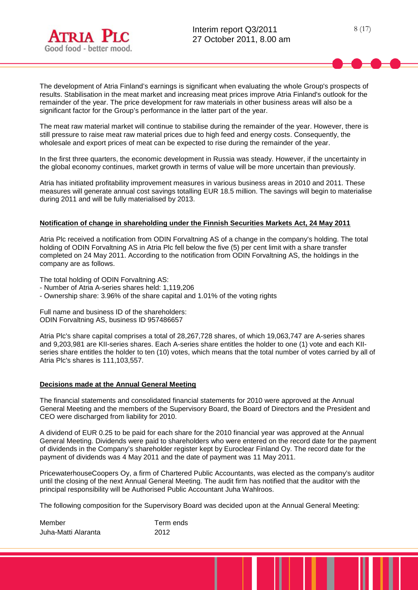



8 (17)

The development of Atria Finland's earnings is significant when evaluating the whole Group's prospects of results. Stabilisation in the meat market and increasing meat prices improve Atria Finland's outlook for the remainder of the year. The price development for raw materials in other business areas will also be a significant factor for the Group's performance in the latter part of the year.

The meat raw material market will continue to stabilise during the remainder of the year. However, there is still pressure to raise meat raw material prices due to high feed and energy costs. Consequently, the wholesale and export prices of meat can be expected to rise during the remainder of the year.

In the first three quarters, the economic development in Russia was steady. However, if the uncertainty in the global economy continues, market growth in terms of value will be more uncertain than previously.

Atria has initiated profitability improvement measures in various business areas in 2010 and 2011. These measures will generate annual cost savings totalling EUR 18.5 million. The savings will begin to materialise during 2011 and will be fully materialised by 2013.

#### **Notification of change in shareholding under the Finnish Securities Markets Act, 24 May 2011**

Atria Plc received a notification from ODIN Forvaltning AS of a change in the company's holding. The total holding of ODIN Forvaltning AS in Atria Plc fell below the five (5) per cent limit with a share transfer completed on 24 May 2011. According to the notification from ODIN Forvaltning AS, the holdings in the company are as follows.

The total holding of ODIN Forvaltning AS:

- Number of Atria A-series shares held: 1,119,206
- Ownership share: 3.96% of the share capital and 1.01% of the voting rights

Full name and business ID of the shareholders: ODIN Forvaltning AS, business ID 957486657

Atria Plc's share capital comprises a total of 28,267,728 shares, of which 19,063,747 are A-series shares and 9,203,981 are KII-series shares. Each A-series share entitles the holder to one (1) vote and each KIIseries share entitles the holder to ten (10) votes, which means that the total number of votes carried by all of Atria Plc's shares is 111,103,557.

#### **Decisions made at the Annual General Meeting**

The financial statements and consolidated financial statements for 2010 were approved at the Annual General Meeting and the members of the Supervisory Board, the Board of Directors and the President and CEO were discharged from liability for 2010.

A dividend of EUR 0.25 to be paid for each share for the 2010 financial year was approved at the Annual General Meeting. Dividends were paid to shareholders who were entered on the record date for the payment of dividends in the Company's shareholder register kept by Euroclear Finland Oy. The record date for the payment of dividends was 4 May 2011 and the date of payment was 11 May 2011.

PricewaterhouseCoopers Oy, a firm of Chartered Public Accountants, was elected as the company's auditor until the closing of the next Annual General Meeting. The audit firm has notified that the auditor with the principal responsibility will be Authorised Public Accountant Juha Wahlroos.

The following composition for the Supervisory Board was decided upon at the Annual General Meeting:

| Member              | Term ends |
|---------------------|-----------|
| Juha-Matti Alaranta | 2012      |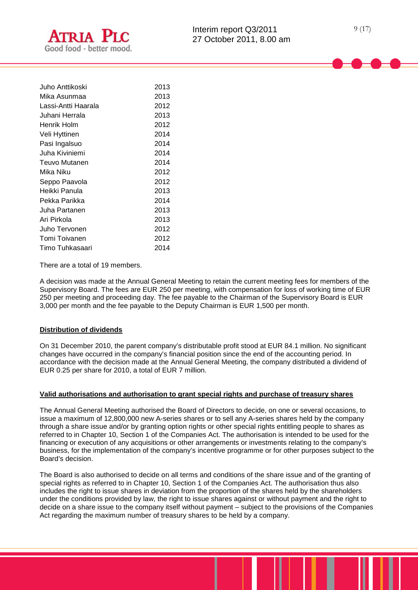

| Juho Anttikoski     | 2013 |
|---------------------|------|
| Mika Asunmaa        | 2013 |
| Lassi-Antti Haarala | 2012 |
| Juhani Herrala      | 2013 |
| Henrik Holm         | 2012 |
| Veli Hyttinen       | 2014 |
| Pasi Ingalsuo       | 2014 |
| Juha Kiviniemi      | 2014 |
| Teuvo Mutanen       | 2014 |
| Mika Niku           | 2012 |
| Seppo Paavola       | 2012 |
| Heikki Panula       | 2013 |
| Pekka Parikka       | 2014 |
| Juha Partanen       | 2013 |
| Ari Pirkola         | 2013 |
| Juho Tervonen       | 2012 |
| Tomi Toivanen       | 2012 |
| Timo Tuhkasaari     | 2014 |

There are a total of 19 members.

A decision was made at the Annual General Meeting to retain the current meeting fees for members of the Supervisory Board. The fees are EUR 250 per meeting, with compensation for loss of working time of EUR 250 per meeting and proceeding day. The fee payable to the Chairman of the Supervisory Board is EUR 3,000 per month and the fee payable to the Deputy Chairman is EUR 1,500 per month.

#### **Distribution of dividends**

On 31 December 2010, the parent company's distributable profit stood at EUR 84.1 million. No significant changes have occurred in the company's financial position since the end of the accounting period. In accordance with the decision made at the Annual General Meeting, the company distributed a dividend of EUR 0.25 per share for 2010, a total of EUR 7 million.

#### **Valid authorisations and authorisation to grant special rights and purchase of treasury shares**

The Annual General Meeting authorised the Board of Directors to decide, on one or several occasions, to issue a maximum of 12,800,000 new A-series shares or to sell any A-series shares held by the company through a share issue and/or by granting option rights or other special rights entitling people to shares as referred to in Chapter 10, Section 1 of the Companies Act. The authorisation is intended to be used for the financing or execution of any acquisitions or other arrangements or investments relating to the company's business, for the implementation of the company's incentive programme or for other purposes subject to the Board's decision.

The Board is also authorised to decide on all terms and conditions of the share issue and of the granting of special rights as referred to in Chapter 10, Section 1 of the Companies Act. The authorisation thus also includes the right to issue shares in deviation from the proportion of the shares held by the shareholders under the conditions provided by law, the right to issue shares against or without payment and the right to decide on a share issue to the company itself without payment – subject to the provisions of the Companies Act regarding the maximum number of treasury shares to be held by a company.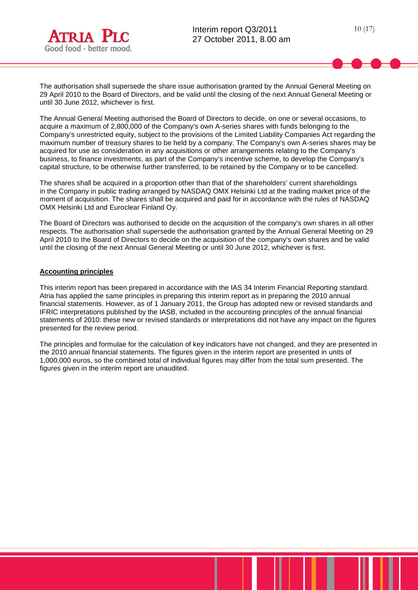

The Annual General Meeting authorised the Board of Directors to decide, on one or several occasions, to acquire a maximum of 2,800,000 of the Company's own A-series shares with funds belonging to the Company's unrestricted equity, subject to the provisions of the Limited Liability Companies Act regarding the maximum number of treasury shares to be held by a company. The Company's own A-series shares may be acquired for use as consideration in any acquisitions or other arrangements relating to the Company's business, to finance investments, as part of the Company's incentive scheme, to develop the Company's capital structure, to be otherwise further transferred, to be retained by the Company or to be cancelled.

The shares shall be acquired in a proportion other than that of the shareholders' current shareholdings in the Company in public trading arranged by NASDAQ OMX Helsinki Ltd at the trading market price of the moment of acquisition. The shares shall be acquired and paid for in accordance with the rules of NASDAQ OMX Helsinki Ltd and Euroclear Finland Oy.

The Board of Directors was authorised to decide on the acquisition of the company's own shares in all other respects. The authorisation shall supersede the authorisation granted by the Annual General Meeting on 29 April 2010 to the Board of Directors to decide on the acquisition of the company's own shares and be valid until the closing of the next Annual General Meeting or until 30 June 2012, whichever is first.

## **Accounting principles**

This interim report has been prepared in accordance with the IAS 34 Interim Financial Reporting standard. Atria has applied the same principles in preparing this interim report as in preparing the 2010 annual financial statements. However, as of 1 January 2011, the Group has adopted new or revised standards and IFRIC interpretations published by the IASB, included in the accounting principles of the annual financial statements of 2010: these new or revised standards or interpretations did not have any impact on the figures presented for the review period.

The principles and formulae for the calculation of key indicators have not changed, and they are presented in the 2010 annual financial statements. The figures given in the interim report are presented in units of 1,000,000 euros, so the combined total of individual figures may differ from the total sum presented. The figures given in the interim report are unaudited.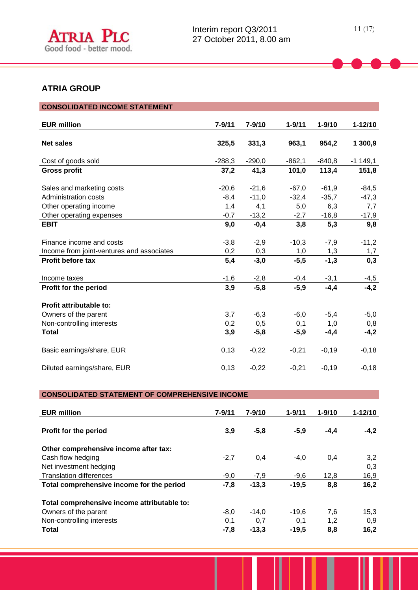

# **ATRIA GROUP**

| <b>CONSOLIDATED INCOME STATEMENT</b>                                  |                   |                    |                    |                    |                    |
|-----------------------------------------------------------------------|-------------------|--------------------|--------------------|--------------------|--------------------|
| <b>EUR million</b>                                                    | $7 - 9/11$        | $7 - 9/10$         | $1 - 9/11$         | $1 - 9/10$         | $1 - 12/10$        |
| <b>Net sales</b>                                                      | 325,5             | 331,3              | 963,1              | 954,2              | 1 300,9            |
| Cost of goods sold                                                    | $-288,3$          | $-290,0$           | $-862,1$           | $-840,8$           | $-1149,1$          |
| <b>Gross profit</b>                                                   | 37,2              | 41,3               | 101,0              | 113,4              | 151,8              |
| Sales and marketing costs<br>Administration costs                     | $-20,6$<br>$-8,4$ | $-21,6$<br>$-11,0$ | $-67,0$<br>$-32,4$ | $-61,9$<br>$-35,7$ | $-84,5$<br>$-47,3$ |
| Other operating income                                                | 1,4               | 4,1                | 5,0                | 6,3                | 7,7                |
| Other operating expenses                                              | $-0,7$            | $-13,2$            | $-2,7$             | $-16,8$            | $-17,9$            |
| <b>EBIT</b>                                                           | 9,0               | $-0,4$             | 3,8                | 5,3                | 9,8                |
| Finance income and costs<br>Income from joint-ventures and associates | $-3,8$<br>0,2     | $-2,9$<br>0,3      | $-10,3$<br>1,0     | $-7,9$<br>1,3      | $-11,2$<br>1,7     |
| Profit before tax                                                     | 5,4               | $-3,0$             | $-5,5$             | $-1.3$             | 0,3                |
| Income taxes                                                          | $-1,6$            | $-2,8$             | $-0,4$             | $-3,1$             | $-4,5$             |
| Profit for the period                                                 | 3,9               | $-5,8$             | $-5,9$             | $-4,4$             | $-4,2$             |
| Profit attributable to:                                               |                   |                    |                    |                    |                    |
| Owners of the parent                                                  | 3,7               | $-6,3$             | $-6,0$             | $-5,4$             | $-5,0$             |
| Non-controlling interests<br><b>Total</b>                             | 0,2<br>3,9        | 0,5<br>$-5,8$      | 0,1<br>$-5,9$      | 1,0<br>$-4,4$      | 0,8<br>$-4,2$      |
| Basic earnings/share, EUR                                             | 0,13              | $-0,22$            | $-0,21$            | $-0,19$            | $-0,18$            |
| Diluted earnings/share, EUR                                           | 0,13              | $-0,22$            | $-0,21$            | $-0,19$            | $-0,18$            |

# **CONSOLIDATED STATEMENT OF COMPREHENSIVE INCOME**

| <b>EUR million</b>                          | $7 - 9/11$ | 7-9/10  | $1 - 9/11$ | $1 - 9/10$ | $1 - 12/10$ |
|---------------------------------------------|------------|---------|------------|------------|-------------|
| Profit for the period                       | 3,9        | $-5,8$  | $-5,9$     | $-4,4$     | $-4,2$      |
| Other comprehensive income after tax:       |            |         |            |            |             |
| Cash flow hedging                           | $-2,7$     | 0,4     | $-4,0$     | 0,4        | 3,2         |
| Net investment hedging                      |            |         |            |            | 0,3         |
| <b>Translation differences</b>              | $-9,0$     | $-7,9$  | $-9,6$     | 12,8       | 16,9        |
| Total comprehensive income for the period   | $-7,8$     | $-13.3$ | $-19.5$    | 8,8        | 16,2        |
| Total comprehensive income attributable to: |            |         |            |            |             |
| Owners of the parent                        | $-8,0$     | $-14.0$ | $-19.6$    | 7,6        | 15,3        |
| Non-controlling interests                   | 0,1        | 0,7     | 0,1        | 1,2        | 0,9         |
| Total                                       | $-7,8$     | $-13.3$ | $-19.5$    | 8,8        | 16,2        |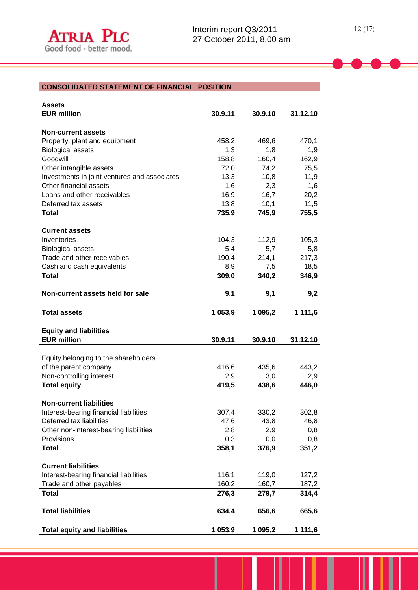| <b>Assets</b>                                |         |         |          |
|----------------------------------------------|---------|---------|----------|
| <b>EUR million</b>                           | 30.9.11 | 30.9.10 | 31.12.10 |
|                                              |         |         |          |
| <b>Non-current assets</b>                    |         |         |          |
| Property, plant and equipment                | 458,2   | 469,6   | 470,1    |
| <b>Biological assets</b>                     | 1,3     | 1,8     | 1,9      |
| Goodwill                                     | 158,8   | 160,4   | 162,9    |
| Other intangible assets                      | 72,0    | 74,2    | 75,5     |
| Investments in joint ventures and associates | 13,3    | 10,8    | 11,9     |
| Other financial assets                       | 1,6     | 2,3     | 1,6      |
| Loans and other receivables                  | 16,9    | 16,7    | 20,2     |
| Deferred tax assets                          | 13,8    | 10,1    | 11,5     |
| <b>Total</b>                                 | 735,9   | 745,9   | 755,5    |
|                                              |         |         |          |
| <b>Current assets</b>                        |         |         |          |
| Inventories                                  | 104,3   | 112,9   | 105,3    |
| <b>Biological assets</b>                     | 5,4     | 5,7     | 5,8      |
| Trade and other receivables                  | 190,4   | 214,1   | 217,3    |
| Cash and cash equivalents                    | 8,9     | 7,5     | 18,5     |
| <b>Total</b>                                 | 309,0   | 340,2   | 346,9    |
|                                              |         |         |          |
| Non-current assets held for sale             | 9,1     | 9,1     | 9,2      |
|                                              |         |         |          |
| <b>Total assets</b>                          | 1 053,9 | 1 095,2 | 1 111,6  |
|                                              |         |         |          |
| <b>Equity and liabilities</b>                |         |         |          |
| <b>EUR million</b>                           | 30.9.11 | 30.9.10 | 31.12.10 |
|                                              |         |         |          |
| Equity belonging to the shareholders         |         |         |          |
| of the parent company                        | 416,6   | 435,6   | 443,2    |
| Non-controlling interest                     | 2,9     | 3,0     | 2,9      |
| <b>Total equity</b>                          | 419,5   | 438,6   | 446,0    |
|                                              |         |         |          |
| <b>Non-current liabilities</b>               |         |         |          |
| Interest-bearing financial liabilities       |         |         |          |
|                                              |         |         |          |
|                                              | 307,4   | 330,2   | 302,8    |
| Deferred tax liabilities                     | 47,6    | 43,8    | 46,8     |
| Other non-interest-bearing liabilities       | 2,8     | 2,9     | 0,8      |
| Provisions                                   | 0,3     | 0,0     | 0,8      |
| <b>Total</b>                                 | 358,1   | 376,9   | 351,2    |
|                                              |         |         |          |
| <b>Current liabilities</b>                   |         |         |          |
| Interest-bearing financial liabilities       | 116,1   | 119,0   | 127,2    |
| Trade and other payables                     | 160,2   | 160,7   | 187,2    |
| <b>Total</b>                                 | 276,3   | 279,7   | 314,4    |
|                                              |         |         |          |
| <b>Total liabilities</b>                     | 634,4   | 656,6   | 665,6    |
| <b>Total equity and liabilities</b>          | 1 053,9 | 1 095,2 | 1 111,6  |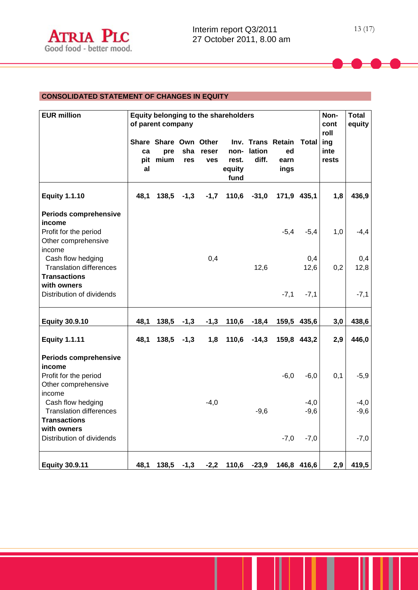# **CONSOLIDATED STATEMENT OF CHANGES IN EQUITY**

| <b>EUR million</b>                                                                                  |                 | of parent company                    |            |                     | Equity belonging to the shareholders |                 |                                               |                  | Non-<br>cont<br>roll | <b>Total</b><br>equity |
|-----------------------------------------------------------------------------------------------------|-----------------|--------------------------------------|------------|---------------------|--------------------------------------|-----------------|-----------------------------------------------|------------------|----------------------|------------------------|
|                                                                                                     | ca<br>pit<br>al | Share Share Own Other<br>pre<br>mium | sha<br>res | reser<br><b>ves</b> | non-<br>rest.<br>equity<br>fund      | lation<br>diff. | Inv. Trans Retain Total<br>ed<br>earn<br>ings |                  | ing<br>inte<br>rests |                        |
| <b>Equity 1.1.10</b>                                                                                | 48,1            | 138,5                                | $-1,3$     | $-1,7$              | 110,6                                | $-31,0$         |                                               | 171,9 435,1      | 1,8                  | 436,9                  |
| Periods comprehensive<br>income<br>Profit for the period<br>Other comprehensive                     |                 |                                      |            |                     |                                      |                 | $-5,4$                                        | $-5,4$           | 1,0                  | $-4,4$                 |
| income<br>Cash flow hedging<br><b>Translation differences</b><br><b>Transactions</b><br>with owners |                 |                                      |            | 0,4                 |                                      | 12,6            |                                               | 0,4<br>12,6      | 0,2                  | 0,4<br>12,8            |
| Distribution of dividends                                                                           |                 |                                      |            |                     |                                      |                 | $-7,1$                                        | $-7,1$           |                      | $-7,1$                 |
| <b>Equity 30.9.10</b>                                                                               | 48,1            | 138,5                                | $-1,3$     | $-1,3$              | 110,6                                | $-18,4$         |                                               | 159,5 435,6      | 3,0                  | 438,6                  |
| <b>Equity 1.1.11</b>                                                                                | 48,1            | 138,5                                | $-1,3$     | 1,8                 | 110,6                                | $-14,3$         |                                               | 159,8 443,2      | 2,9                  | 446,0                  |
| Periods comprehensive<br>income<br>Profit for the period<br>Other comprehensive                     |                 |                                      |            |                     |                                      |                 | $-6,0$                                        | $-6,0$           | 0,1                  | $-5,9$                 |
| income<br>Cash flow hedging<br><b>Translation differences</b><br><b>Transactions</b><br>with owners |                 |                                      |            | $-4,0$              |                                      | $-9,6$          |                                               | $-4,0$<br>$-9,6$ |                      | $-4,0$<br>$-9,6$       |
| Distribution of dividends                                                                           |                 |                                      |            |                     |                                      |                 | $-7,0$                                        | $-7,0$           |                      | $-7,0$                 |
| <b>Equity 30.9.11</b>                                                                               | 48,1            | $138,5$ -1,3                         |            |                     | $-2,2$ 110,6                         | $-23,9$         |                                               | 146,8 416,6      | 2,9                  | 419,5                  |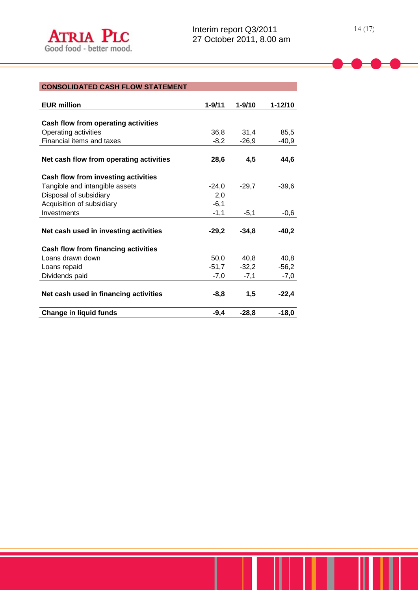| <b>EUR million</b>                      | $1 - 9/11$ | $1 - 9/10$ | 1-12/10 |
|-----------------------------------------|------------|------------|---------|
|                                         |            |            |         |
| Cash flow from operating activities     |            |            |         |
| Operating activities                    | 36,8       | 31,4       | 85,5    |
| Financial items and taxes               | $-8,2$     | -26,9      | $-40,9$ |
|                                         |            |            |         |
| Net cash flow from operating activities | 28,6       | 4,5        | 44,6    |
| Cash flow from investing activities     |            |            |         |
| Tangible and intangible assets          | $-24,0$    | $-29,7$    | $-39,6$ |
| Disposal of subsidiary                  | 2,0        |            |         |
| Acquisition of subsidiary               | $-6,1$     |            |         |
| Investments                             | $-1,1$     | $-5,1$     | $-0,6$  |
|                                         |            |            |         |
| Net cash used in investing activities   | $-29,2$    | $-34,8$    | $-40,2$ |
| Cash flow from financing activities     |            |            |         |
| Loans drawn down                        | 50,0       | 40,8       | 40,8    |
| Loans repaid                            | -51,7      | $-32,2$    | $-56,2$ |
| Dividends paid                          | $-7,0$     | $-7,1$     | $-7,0$  |
|                                         |            |            |         |
| Net cash used in financing activities   | -8,8       | 1,5        | $-22,4$ |
| Change in liquid funds                  | $-9.4$     | $-28,8$    | $-18,0$ |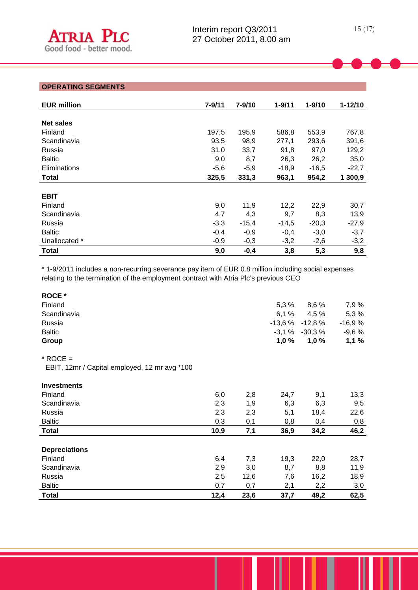# **OPERATING SEGMENTS**

| <b>EUR million</b>  | 7-9/11 | 7-9/10  | $1 - 9/11$ | $1 - 9/10$ | $1 - 12/10$ |
|---------------------|--------|---------|------------|------------|-------------|
|                     |        |         |            |            |             |
| <b>Net sales</b>    |        |         |            |            |             |
| Finland             | 197,5  | 195,9   | 586,8      | 553,9      | 767,8       |
| Scandinavia         | 93,5   | 98,9    | 277,1      | 293,6      | 391,6       |
| Russia              | 31,0   | 33,7    | 91,8       | 97,0       | 129,2       |
| <b>Baltic</b>       | 9,0    | 8,7     | 26,3       | 26,2       | 35,0        |
| <b>Eliminations</b> | $-5,6$ | $-5,9$  | $-18,9$    | $-16,5$    | $-22,7$     |
| <b>Total</b>        | 325,5  | 331,3   | 963,1      | 954,2      | 1 300,9     |
|                     |        |         |            |            |             |
| <b>EBIT</b>         |        |         |            |            |             |
| Finland             | 9,0    | 11,9    | 12,2       | 22,9       | 30,7        |
| Scandinavia         | 4,7    | 4,3     | 9,7        | 8,3        | 13,9        |
| Russia              | $-3,3$ | $-15,4$ | $-14,5$    | $-20,3$    | $-27,9$     |
| <b>Baltic</b>       | $-0,4$ | $-0,9$  | $-0,4$     | $-3,0$     | $-3,7$      |
| Unallocated *       | $-0,9$ | $-0,3$  | $-3,2$     | $-2,6$     | $-3,2$      |
| <b>Total</b>        | 9,0    | $-0,4$  | 3,8        | 5,3        | 9,8         |

\* 1-9/2011 includes a non-recurring severance pay item of EUR 0.8 million including social expenses relating to the termination of the employment contract with Atria Plc's previous CEO

| <b>ROCE</b> *                                 |      |      |      |                   |          |
|-----------------------------------------------|------|------|------|-------------------|----------|
| Finland                                       |      |      | 5,3% | 8,6 %             | 7,9 %    |
| Scandinavia                                   |      |      |      | $6,1\%$ $4,5\%$   | 5,3%     |
| Russia                                        |      |      |      | $-13,6%$ $-12,8%$ | $-16,9%$ |
| <b>Baltic</b>                                 |      |      |      | $-3,1\% -30,3\%$  | $-9,6%$  |
| Group                                         |      |      | 1,0% | 1,0%              | 1,1%     |
| $*$ ROCE =                                    |      |      |      |                   |          |
| EBIT, 12mr / Capital employed, 12 mr avg *100 |      |      |      |                   |          |
| <b>Investments</b>                            |      |      |      |                   |          |
| Finland                                       | 6,0  | 2,8  | 24,7 | 9,1               | 13,3     |
| Scandinavia                                   | 2,3  | 1,9  | 6,3  | 6,3               | 9,5      |
| Russia                                        | 2,3  | 2,3  | 5,1  | 18,4              | 22,6     |
| <b>Baltic</b>                                 | 0,3  | 0,1  | 0,8  | 0,4               | 0,8      |
| <b>Total</b>                                  | 10,9 | 7,1  | 36,9 | 34,2              | 46,2     |
|                                               |      |      |      |                   |          |
| <b>Depreciations</b>                          |      |      |      |                   |          |
| Finland                                       | 6,4  | 7,3  | 19,3 | 22,0              | 28,7     |
| Scandinavia                                   | 2,9  | 3,0  | 8,7  | 8,8               | 11,9     |
| Russia                                        | 2,5  | 12,6 | 7,6  | 16,2              | 18,9     |
| <b>Baltic</b>                                 | 0,7  | 0,7  | 2,1  | 2,2               | 3,0      |
| <b>Total</b>                                  | 12,4 | 23,6 | 37,7 | 49,2              | 62,5     |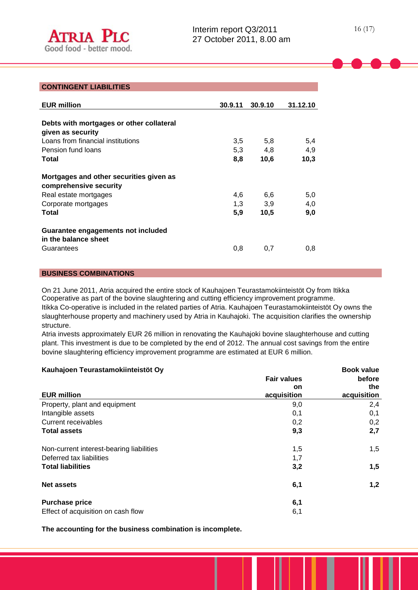#### **CONTINGENT LIABILITIES**

| <b>EUR million</b>                                                                                                         | 30.9.11           | 30.9.10            | 31.12.10          |
|----------------------------------------------------------------------------------------------------------------------------|-------------------|--------------------|-------------------|
| Debts with mortgages or other collateral<br>given as security<br>Loans from financial institutions<br>Pension fund loans   | 3,5<br>5,3        | 5,8<br>4.8         | 5,4<br>4,9        |
| Total                                                                                                                      | 8,8               | 10,6               | 10,3              |
| Mortgages and other securities given as<br>comprehensive security<br>Real estate mortgages<br>Corporate mortgages<br>Total | 4,6<br>1,3<br>5,9 | 6.6<br>3,9<br>10,5 | 5.0<br>4,0<br>9.0 |
| Guarantee engagements not included<br>in the balance sheet<br>Guarantees                                                   | 0,8               | 0,7                | 0.8               |

### **BUSINESS COMBINATIONS**

On 21 June 2011, Atria acquired the entire stock of Kauhajoen Teurastamokiinteistöt Oy from Itikka Cooperative as part of the bovine slaughtering and cutting efficiency improvement programme. Itikka Co-operative is included in the related parties of Atria. Kauhajoen Teurastamokiinteistöt Oy owns the slaughterhouse property and machinery used by Atria in Kauhajoki. The acquisition clarifies the ownership structure.

Atria invests approximately EUR 26 million in renovating the Kauhajoki bovine slaughterhouse and cutting plant. This investment is due to be completed by the end of 2012. The annual cost savings from the entire bovine slaughtering efficiency improvement programme are estimated at EUR 6 million.

| Kauhajoen Teurastamokiinteistöt Oy       | <b>Book value</b>  |             |  |  |
|------------------------------------------|--------------------|-------------|--|--|
|                                          | <b>Fair values</b> | before      |  |  |
|                                          | <b>on</b>          | the         |  |  |
| <b>EUR million</b>                       | acquisition        | acquisition |  |  |
| Property, plant and equipment            | 9,0                | 2,4         |  |  |
| Intangible assets                        | 0,1                | 0,1         |  |  |
| Current receivables                      | 0,2                | 0,2         |  |  |
| <b>Total assets</b>                      | 9,3                | 2,7         |  |  |
| Non-current interest-bearing liabilities | 1,5                | 1,5         |  |  |
| Deferred tax liabilities                 | 1,7                |             |  |  |
| <b>Total liabilities</b>                 | 3,2                | 1,5         |  |  |
| <b>Net assets</b>                        | 6,1                | 1,2         |  |  |
| <b>Purchase price</b>                    | 6,1                |             |  |  |
| Effect of acquisition on cash flow       | 6,1                |             |  |  |

**The accounting for the business combination is incomplete.**